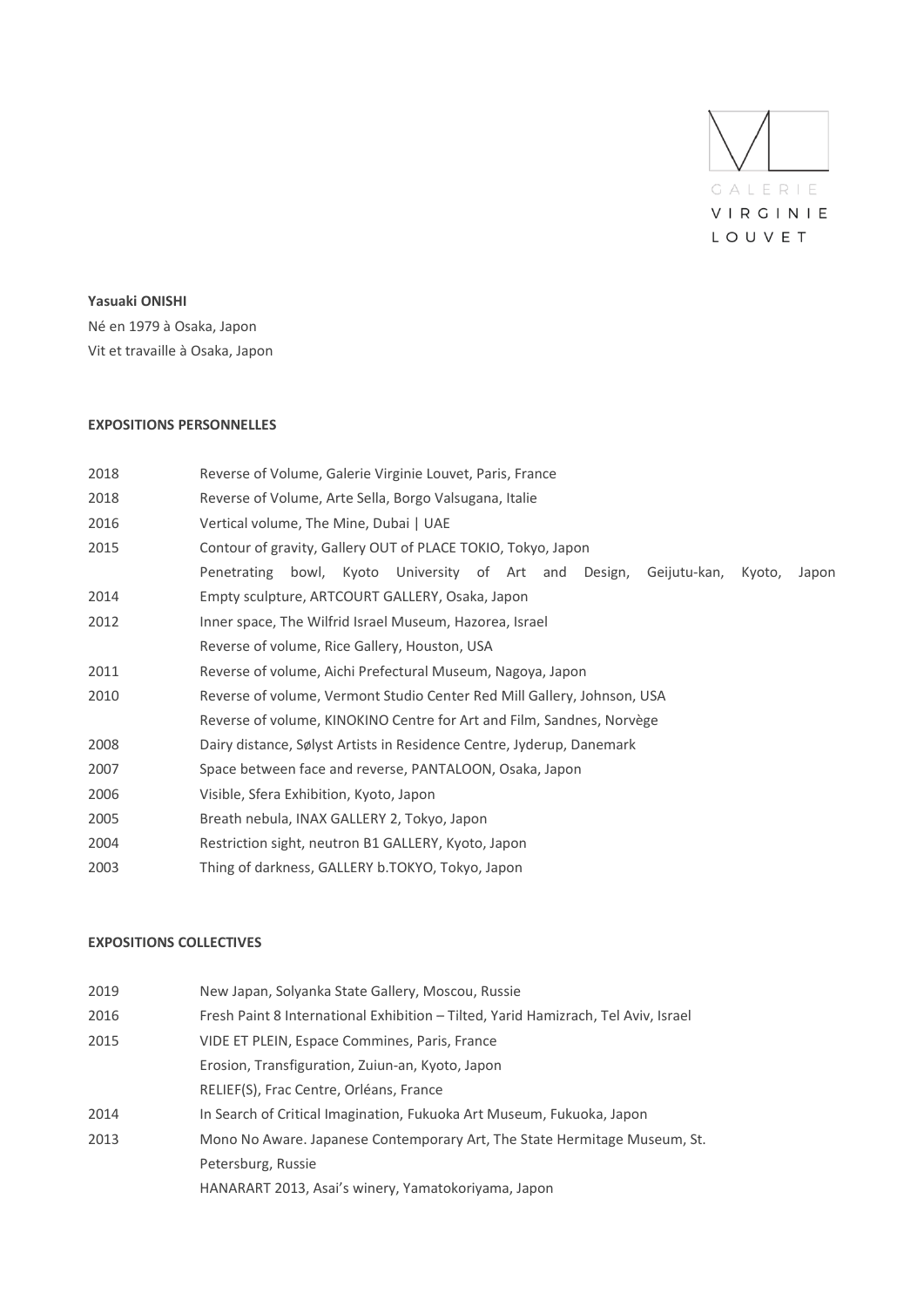

#### **Yasuaki ONISHI**

Né en 1979 à Osaka, Japon Vit et travaille à Osaka, Japon

### **EXPOSITIONS PERSONNELLES**

| 2018 | Reverse of Volume, Galerie Virginie Louvet, Paris, France                                   |
|------|---------------------------------------------------------------------------------------------|
| 2018 | Reverse of Volume, Arte Sella, Borgo Valsugana, Italie                                      |
| 2016 | Vertical volume, The Mine, Dubai   UAE                                                      |
| 2015 | Contour of gravity, Gallery OUT of PLACE TOKIO, Tokyo, Japon                                |
|      | bowl, Kyoto University of Art and Design,<br>Penetrating<br>Geijutu-kan,<br>Kvoto,<br>Japon |
| 2014 | Empty sculpture, ARTCOURT GALLERY, Osaka, Japon                                             |
| 2012 | Inner space, The Wilfrid Israel Museum, Hazorea, Israel                                     |
|      | Reverse of volume, Rice Gallery, Houston, USA                                               |
| 2011 | Reverse of volume, Aichi Prefectural Museum, Nagoya, Japon                                  |
| 2010 | Reverse of volume, Vermont Studio Center Red Mill Gallery, Johnson, USA                     |
|      | Reverse of volume, KINOKINO Centre for Art and Film, Sandnes, Norvège                       |
| 2008 | Dairy distance, Sølyst Artists in Residence Centre, Jyderup, Danemark                       |
| 2007 | Space between face and reverse, PANTALOON, Osaka, Japon                                     |
| 2006 | Visible, Sfera Exhibition, Kyoto, Japon                                                     |
| 2005 | Breath nebula, INAX GALLERY 2, Tokyo, Japon                                                 |
| 2004 | Restriction sight, neutron B1 GALLERY, Kyoto, Japon                                         |
| 2003 | Thing of darkness, GALLERY b.TOKYO, Tokyo, Japon                                            |

#### **EXPOSITIONS COLLECTIVES**

| 2019 | New Japan, Solyanka State Gallery, Moscou, Russie                                  |
|------|------------------------------------------------------------------------------------|
| 2016 | Fresh Paint 8 International Exhibition - Tilted, Yarid Hamizrach, Tel Aviv, Israel |
| 2015 | VIDE ET PLEIN, Espace Commines, Paris, France                                      |
|      | Erosion, Transfiguration, Zuiun-an, Kyoto, Japon                                   |
|      | RELIEF(S), Frac Centre, Orléans, France                                            |
| 2014 | In Search of Critical Imagination, Fukuoka Art Museum, Fukuoka, Japon              |
| 2013 | Mono No Aware. Japanese Contemporary Art, The State Hermitage Museum, St.          |
|      | Petersburg, Russie                                                                 |
|      | HANARART 2013, Asai's winery, Yamatokoriyama, Japon                                |